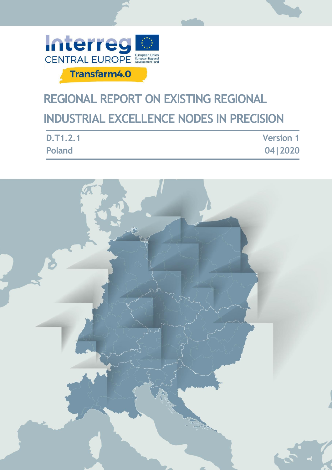

# **REGIONAL REPORT ON EXISTING REGIONAL INDUSTRIAL EXCELLENCE NODES IN PRECISION**

| D.T1.2.1 | <b>Version 1</b> |
|----------|------------------|
| Poland   | 04   2020        |

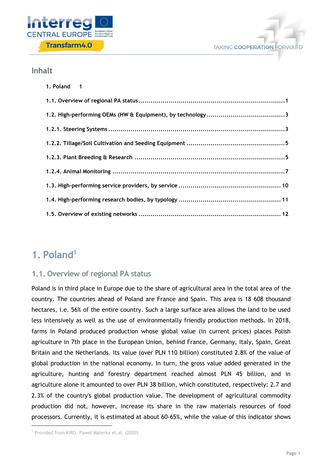



## **Inhalt**

| 1. Poland 1 |
|-------------|
|             |
|             |
|             |
|             |
|             |
|             |
|             |
|             |
|             |

# <span id="page-1-0"></span>**1. Poland<sup>1</sup>**

# <span id="page-1-1"></span>**1.1. Overview of regional PA status**

Poland is in third place in Europe due to the share of agricultural area in the total area of the country. The countries ahead of Poland are France and Spain. This area is 18 608 thousand hectares, i.e. 56% of the entire country. Such a large surface area allows the land to be used less intensively as well as the use of environmentally friendly production methods. In 2018, farms in Poland produced production whose global value (in current prices) places Polish agriculture in 7th place in the European Union, behind France, Germany, Italy, Spain, Great Britain and the Netherlands. Its value (over PLN 110 billion) constituted 2.8% of the value of global production in the national economy. In turn, the gross value added generated in the agriculture, hunting and forestry department reached almost PLN 45 billion, and in agriculture alone it amounted to over PLN 38 billion, which constituted, respectively: 2.7 and 2.3% of the country's global production value. The development of agricultural commodity production did not, however, increase its share in the raw materials resources of food processors. Currently, it is estimated at about 60-65%, while the value of this indicator shows

1

<sup>1</sup> Provided from KIRG: Pawel Materka et.al. (2020)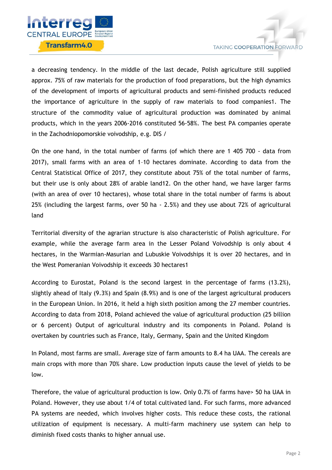

a decreasing tendency. In the middle of the last decade, Polish agriculture still supplied approx. 75% of raw materials for the production of food preparations, but the high dynamics of the development of imports of agricultural products and semi-finished products reduced the importance of agriculture in the supply of raw materials to food companies1. The structure of the commodity value of agricultural production was dominated by animal products, which in the years 2006-2016 constituted 56-58%. The best PA companies operate in the Zachodniopomorskie voivodship, e.g. DIS /

On the one hand, in the total number of farms (of which there are 1 405 700 - data from 2017), small farms with an area of 1–10 hectares dominate. According to data from the Central Statistical Office of 2017, they constitute about 75% of the total number of farms, but their use is only about 28% of arable land12. On the other hand, we have larger farms (with an area of over 10 hectares), whose total share in the total number of farms is about 25% (including the largest farms, over 50 ha - 2.5%) and they use about 72% of agricultural land

Territorial diversity of the agrarian structure is also characteristic of Polish agriculture. For example, while the average farm area in the Lesser Poland Voivodship is only about 4 hectares, in the Warmian-Masurian and Lubuskie Voivodships it is over 20 hectares, and in the West Pomeranian Voivodship it exceeds 30 hectares1

According to Eurostat, Poland is the second largest in the percentage of farms (13.2%), slightly ahead of Italy (9.3%) and Spain (8.9%) and is one of the largest agricultural producers in the European Union. In 2016, it held a high sixth position among the 27 member countries. According to data from 2018, Poland achieved the value of agricultural production (25 billion or 6 percent) Output of agricultural industry and its components in Poland. Poland is overtaken by countries such as France, Italy, Germany, Spain and the United Kingdom

In Poland, most farms are small. Average size of farm amounts to 8.4 ha UAA. The cereals are main crops with more than 70% share. Low production inputs cause the level of yields to be low.

Therefore, the value of agricultural production is low. Only 0.7% of farms have> 50 ha UAA in Poland. However, they use about 1/4 of total cultivated land. For such farms, more advanced PA systems are needed, which involves higher costs. This reduce these costs, the rational utilization of equipment is necessary. A multi-farm machinery use system can help to diminish fixed costs thanks to higher annual use.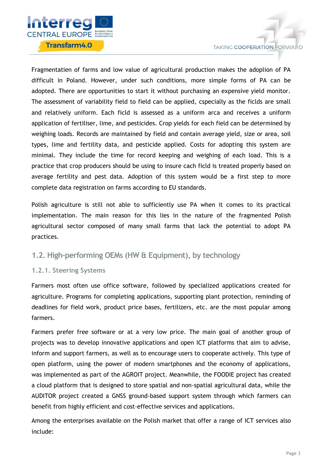

Fragmentatien of farms and low value of agricultural production makes the adoplion of PA difficult in Poland. However, under such conditions, more simple forms of PA can be adopted. There are opportunities to start it without purchasing an expensive yield monitor. The assessment of variability field to field can be applied, cspecialły as the ficlds are small and relatively uniform. Each ficld is assessed as a uniform arca and receives a uniform application of fertiliser, lime, and pesticides. Crop yields for each field can be determined by weighing loads. Records are maintained by field and contain average yield, size or area, soil types, lime and fertility data, and pesticide applied. Costs for adopting this system are minimal. They include the time for record keeping and weighing of each load. This is a practice that crop producers should be using to insure cach ficld is treated properly based on average fertility and pest data. Adoption of this system would be a first step to more complete data registration on farms according to EU standards.

Polish agriculture is still not able to sufficiently use PA when it comes to its practical implementation. The main reason for this lies in the nature of the fragmented Polish agricultural sector composed of many small farms that lack the potential to adopt PA practices.

# <span id="page-3-0"></span>**1.2. High-performing OEMs (HW & Equipment), by technology**

#### <span id="page-3-1"></span>**1.2.1. Steering Systems**

Farmers most often use office software, followed by specialized applications created for agriculture. Programs for completing applications, supporting plant protection, reminding of deadlines for field work, product price bases, fertilizers, etc. are the most popular among farmers.

Farmers prefer free software or at a very low price. The main goal of another group of projects was to develop innovative applications and open ICT platforms that aim to advise, inform and support farmers, as well as to encourage users to cooperate actively. This type of open platform, using the power of modern smartphones and the economy of applications, was implemented as part of the AGROIT project. Meanwhile, the FOODIE project has created a cloud platform that is designed to store spatial and non-spatial agricultural data, while the AUDITOR project created a GNSS ground-based support system through which farmers can benefit from highly efficient and cost-effective services and applications.

Among the enterprises available on the Polish market that offer a range of ICT services also include: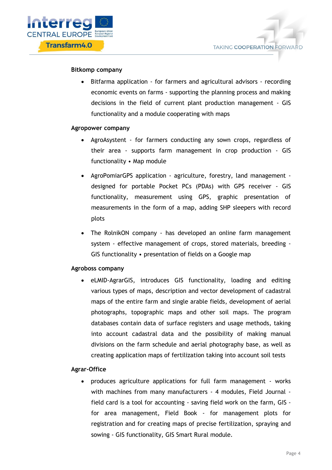

#### **Bitkomp company**

 Bitfarma application - for farmers and agricultural advisors - recording economic events on farms - supporting the planning process and making decisions in the field of current plant production management - GIS functionality and a module cooperating with maps

#### **Agropower company**

- AgroAsystent for farmers conducting any sown crops, regardless of their area - supports farm management in crop production - GIS functionality • Map module
- AgroPomiarGPS application agriculture, forestry, land management designed for portable Pocket PCs (PDAs) with GPS receiver - GIS functionality, measurement using GPS, graphic presentation of measurements in the form of a map, adding SHP sleepers with record plots
- The RolnikON company has developed an online farm management system - effective management of crops, stored materials, breeding - GIS functionality • presentation of fields on a Google map

#### **Agroboss company**

 eLMID-AgrarGIS, introduces GIS functionality, loading and editing various types of maps, description and vector development of cadastral maps of the entire farm and single arable fields, development of aerial photographs, topographic maps and other soil maps. The program databases contain data of surface registers and usage methods, taking into account cadastral data and the possibility of making manual divisions on the farm schedule and aerial photography base, as well as creating application maps of fertilization taking into account soil tests

#### **Agrar-Office**

 produces agriculture applications for full farm management - works with machines from many manufacturers - 4 modules, Field Journal field card is a tool for accounting - saving field work on the farm, GIS for area management, Field Book - for management plots for registration and for creating maps of precise fertilization, spraying and sowing - GIS functionality, GIS Smart Rural module.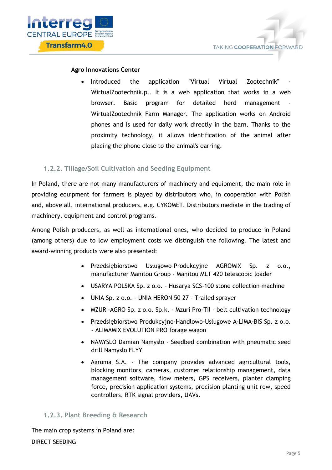

#### **Agro Innovations Center**

Introduced the application "Virtual Virtual Zootechnik" WirtualZootechnik.pl. It is a web application that works in a web browser. Basic program for detailed herd management WirtualZootechnik Farm Manager. The application works on Android phones and is used for daily work directly in the barn. Thanks to the proximity technology, it allows identification of the animal after placing the phone close to the animal's earring.

#### <span id="page-5-0"></span>**1.2.2. Tillage/Soil Cultivation and Seeding Equipment**

In Poland, there are not many manufacturers of machinery and equipment, the main role in providing equipment for farmers is played by distributors who, in cooperation with Polish and, above all, international producers, e.g. CYKOMET. Distributors mediate in the trading of machinery, equipment and control programs.

Among Polish producers, as well as international ones, who decided to produce in Poland (among others) due to low employment costs we distinguish the following. The latest and award-winning products were also presented:

- Przedsiębiorstwo Usługowo-Produkcyjne AGROMIX Sp. z o.o., manufacturer Manitou Group - Manitou MLT 420 telescopic loader
- USARYA POLSKA Sp. z o.o. Husarya SCS-100 stone collection machine
- UNIA Sp. z o.o. UNIA HERON 50 27 Trailed sprayer
- MZURI-AGRO Sp. z o.o. Sp.k. Mzuri Pro-Til belt cultivation technology
- Przedsiębiorstwo Produkcyjno-Handlowo-Usługowe A-LIMA-BIS Sp. z o.o. - ALIMAMIX EVOLUTION PRO forage wagon
- NAMYSLO Damian Namysło Seedbed combination with pneumatic seed drill Namyslo FLYY
- Agroma S.A. The company provides advanced agricultural tools, blocking monitors, cameras, customer relationship management, data management software, flow meters, GPS receivers, planter clamping force, precision application systems, precision planting unit row, speed controllers, RTK signal providers, UAVs.

#### <span id="page-5-1"></span>**1.2.3. Plant Breeding & Research**

The main crop systems in Poland are: DIRECT SEEDING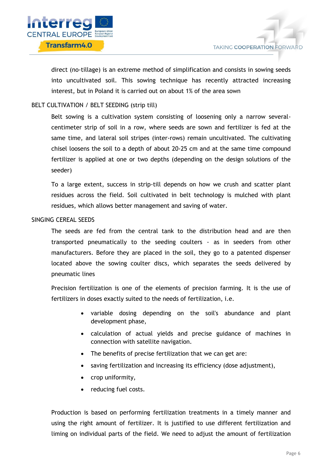

direct (no-tillage) is an extreme method of simplification and consists in sowing seeds into uncultivated soil. This sowing technique has recently attracted increasing interest, but in Poland it is carried out on about 1% of the area sown

#### BELT CULTIVATION / BELT SEEDING (strip till)

Belt sowing is a cultivation system consisting of loosening only a narrow severalcentimeter strip of soil in a row, where seeds are sown and fertilizer is fed at the same time, and lateral soil stripes (inter-rows) remain uncultivated. The cultivating chisel loosens the soil to a depth of about 20-25 cm and at the same time compound fertilizer is applied at one or two depths (depending on the design solutions of the seeder)

To a large extent, success in strip-till depends on how we crush and scatter plant residues across the field. Soil cultivated in belt technology is mulched with plant residues, which allows better management and saving of water.

#### SINGING CEREAL SEEDS

The seeds are fed from the central tank to the distribution head and are then transported pneumatically to the seeding coulters - as in seeders from other manufacturers. Before they are placed in the soil, they go to a patented dispenser located above the sowing coulter discs, which separates the seeds delivered by pneumatic lines

Precision fertilization is one of the elements of precision farming. It is the use of fertilizers in doses exactly suited to the needs of fertilization, i.e.

- variable dosing depending on the soil's abundance and plant development phase,
- calculation of actual yields and precise guidance of machines in connection with satellite navigation.
- The benefits of precise fertilization that we can get are:
- saving fertilization and increasing its efficiency (dose adjustment),
- crop uniformity,
- reducing fuel costs.

Production is based on performing fertilization treatments in a timely manner and using the right amount of fertilizer. It is justified to use different fertilization and liming on individual parts of the field. We need to adjust the amount of fertilization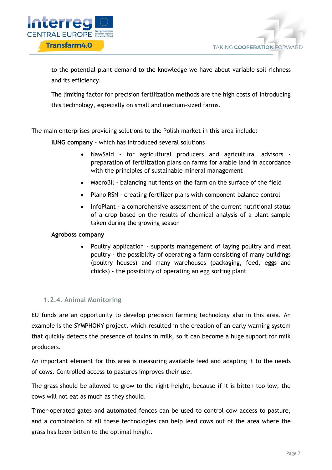

**TAKING COOPERATION FORWARD** 

to the potential plant demand to the knowledge we have about variable soil richness and its efficiency.

The limiting factor for precision fertilization methods are the high costs of introducing this technology, especially on small and medium-sized farms.

The main enterprises providing solutions to the Polish market in this area include:

**IUNG company** - which has introduced several solutions

- NawSald for agricultural producers and agricultural advisors preparation of fertilization plans on farms for arable land in accordance with the principles of sustainable mineral management
- MacroBil balancing nutrients on the farm on the surface of the field
- Plano RSN creating fertilizer plans with component balance control
- InfoPlant a comprehensive assessment of the current nutritional status of a crop based on the results of chemical analysis of a plant sample taken during the growing season

#### **Agroboss company**

 Poultry application - supports management of laying poultry and meat poultry - the possibility of operating a farm consisting of many buildings (poultry houses) and many warehouses (packaging, feed, eggs and chicks) - the possibility of operating an egg sorting plant

#### <span id="page-7-0"></span>**1.2.4. Animal Monitoring**

EU funds are an opportunity to develop precision farming technology also in this area. An example is the SYMPHONY project, which resulted in the creation of an early warning system that quickly detects the presence of toxins in milk, so it can become a huge support for milk producers.

An important element for this area is measuring available feed and adapting it to the needs of cows. Controlled access to pastures improves their use.

The grass should be allowed to grow to the right height, because if it is bitten too low, the cows will not eat as much as they should.

Timer-operated gates and automated fences can be used to control cow access to pasture, and a combination of all these technologies can help lead cows out of the area where the grass has been bitten to the optimal height.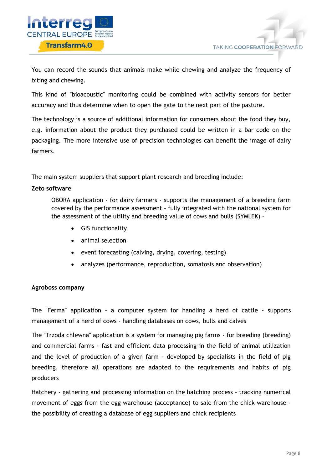

You can record the sounds that animals make while chewing and analyze the frequency of biting and chewing.

This kind of "bioacoustic" monitoring could be combined with activity sensors for better accuracy and thus determine when to open the gate to the next part of the pasture.

The technology is a source of additional information for consumers about the food they buy, e.g. information about the product they purchased could be written in a bar code on the packaging. The more intensive use of precision technologies can benefit the image of dairy farmers.

The main system suppliers that support plant research and breeding include:

#### **Zeto software**

OBORA application - for dairy farmers - supports the management of a breeding farm covered by the performance assessment - fully integrated with the national system for the assessment of the utility and breeding value of cows and bulls (SYMLEK) –

- GIS functionality
- animal selection
- event forecasting (calving, drying, covering, testing)
- analyzes (performance, reproduction, somatosis and observation)

#### **Agroboss company**

The "Ferma" application - a computer system for handling a herd of cattle - supports management of a herd of cows - handling databases on cows, bulls and calves

The "Trzoda chlewna" application is a system for managing pig farms - for breeding (breeding) and commercial farms - fast and efficient data processing in the field of animal utilization and the level of production of a given farm - developed by specialists in the field of pig breeding, therefore all operations are adapted to the requirements and habits of pig producers

Hatchery - gathering and processing information on the hatching process - tracking numerical movement of eggs from the egg warehouse (acceptance) to sale from the chick warehouse the possibility of creating a database of egg suppliers and chick recipients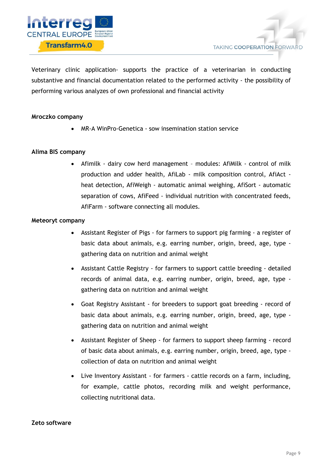

Veterinary clinic application- supports the practice of a veterinarian in conducting substantive and financial documentation related to the performed activity - the possibility of performing various analyzes of own professional and financial activity

#### **Mroczko company**

MR-A WinPro-Genetica - sow insemination station service

#### **Alima BIS company**

 Afimilk - dairy cow herd management – modules: AfiMilk - control of milk production and udder health, AfiLab - milk composition control, AfiAct heat detection, AfiWeigh - automatic animal weighing, AfiSort - automatic separation of cows, AfiFeed - individual nutrition with concentrated feeds, AfiFarm - software connecting all modules.

#### **Meteoryt company**

- Assistant Register of Pigs for farmers to support pig farming a register of basic data about animals, e.g. earring number, origin, breed, age, type gathering data on nutrition and animal weight
- Assistant Cattle Registry for farmers to support cattle breeding detailed records of animal data, e.g. earring number, origin, breed, age, type gathering data on nutrition and animal weight
- Goat Registry Assistant for breeders to support goat breeding record of basic data about animals, e.g. earring number, origin, breed, age, type gathering data on nutrition and animal weight
- Assistant Register of Sheep for farmers to support sheep farming record of basic data about animals, e.g. earring number, origin, breed, age, type collection of data on nutrition and animal weight
- Live Inventory Assistant for farmers cattle records on a farm, including, for example, cattle photos, recording milk and weight performance, collecting nutritional data.

#### **Zeto software**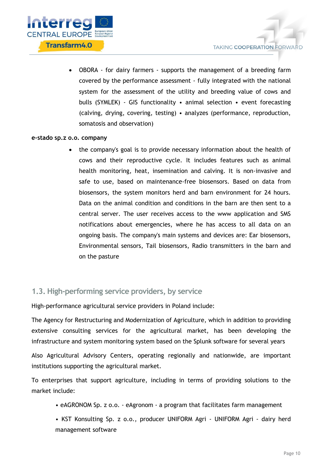

 OBORA - for dairy farmers - supports the management of a breeding farm covered by the performance assessment - fully integrated with the national system for the assessment of the utility and breeding value of cows and bulls (SYMLEK) - GIS functionality • animal selection • event forecasting (calving, drying, covering, testing) • analyzes (performance, reproduction, somatosis and observation)

#### **e-stado sp.z o.o. company**

 the company's goal is to provide necessary information about the health of cows and their reproductive cycle. It includes features such as animal health monitoring, heat, insemination and calving. It is non-invasive and safe to use, based on maintenance-free biosensors. Based on data from biosensors, the system monitors herd and barn environment for 24 hours. Data on the animal condition and conditions in the barn are then sent to a central server. The user receives access to the www application and SMS notifications about emergencies, where he has access to all data on an ongoing basis. The company's main systems and devices are: Ear biosensors, Environmental sensors, Tail biosensors, Radio transmitters in the barn and on the pasture

# <span id="page-10-0"></span>**1.3. High-performing service providers, by service**

High-performance agricultural service providers in Poland include:

The Agency for Restructuring and Modernization of Agriculture, which in addition to providing extensive consulting services for the agricultural market, has been developing the infrastructure and system monitoring system based on the Splunk software for several years

Also Agricultural Advisory Centers, operating regionally and nationwide, are important institutions supporting the agricultural market.

To enterprises that support agriculture, including in terms of providing solutions to the market include:

• eAGRONOM Sp. z o.o. - eAgronom - a program that facilitates farm management

• KST Konsulting Sp. z o.o., producer UNIFORM Agri - UNIFORM Agri - dairy herd management software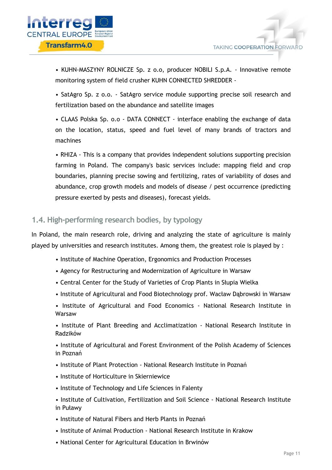• KUHN-MASZYNY ROLNICZE Sp. z o.o, producer NOBILI S.p.A. - Innovative remote monitoring system of field crusher KUHN CONNECTED SHREDDER -

• SatAgro Sp. z o.o. - SatAgro service module supporting precise soil research and fertilization based on the abundance and satellite images

• CLAAS Polska Sp. o.o - DATA CONNECT - interface enabling the exchange of data on the location, status, speed and fuel level of many brands of tractors and machines

• RHIZA - This is a company that provides independent solutions supporting precision farming in Poland. The company's basic services include: mapping field and crop boundaries, planning precise sowing and fertilizing, rates of variability of doses and abundance, crop growth models and models of disease / pest occurrence (predicting pressure exerted by pests and diseases), forecast yields.

# <span id="page-11-0"></span>**1.4. High-performing research bodies, by typology**

In Poland, the main research role, driving and analyzing the state of agriculture is mainly played by universities and research institutes. Among them, the greatest role is played by :

- Institute of Machine Operation, Ergonomics and Production Processes
- Agency for Restructuring and Modernization of Agriculture in Warsaw
- Central Center for the Study of Varieties of Crop Plants in Słupia Wielka
- Institute of Agricultural and Food Biotechnology prof. Wacław Dąbrowski in Warsaw
- Institute of Agricultural and Food Economics National Research Institute in Warsaw

• Institute of Plant Breeding and Acclimatization - National Research Institute in Radzików

• Institute of Agricultural and Forest Environment of the Polish Academy of Sciences in Poznań

- Institute of Plant Protection National Research Institute in Poznań
- Institute of Horticulture in Skierniewice
- Institute of Technology and Life Sciences in Falenty
- Institute of Cultivation, Fertilization and Soil Science National Research Institute in Puławy
- Institute of Natural Fibers and Herb Plants in Poznań
- Institute of Animal Production National Research Institute in Krakow
- National Center for Agricultural Education in Brwinów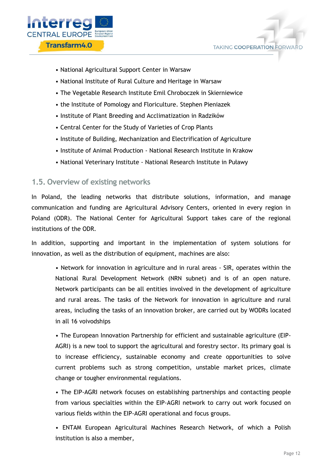



- National Agricultural Support Center in Warsaw
- National Institute of Rural Culture and Heritage in Warsaw
- The Vegetable Research Institute Emil Chroboczek in Skierniewice
- the Institute of Pomology and Floriculture. Stephen Pieniazek
- Institute of Plant Breeding and Acclimatization in Radzików
- Central Center for the Study of Varieties of Crop Plants
- Institute of Building, Mechanization and Electrification of Agriculture
- Institute of Animal Production National Research Institute in Krakow
- National Veterinary Institute National Research Institute in Puławy

### <span id="page-12-0"></span>**1.5. Overview of existing networks**

In Poland, the leading networks that distribute solutions, information, and manage communication and funding are Agricultural Advisory Centers, oriented in every region in Poland (ODR). The National Center for Agricultural Support takes care of the regional institutions of the ODR.

In addition, supporting and important in the implementation of system solutions for innovation, as well as the distribution of equipment, machines are also:

• Network for innovation in agriculture and in rural areas - SIR, operates within the National Rural Development Network (NRN subnet) and is of an open nature. Network participants can be all entities involved in the development of agriculture and rural areas. The tasks of the Network for innovation in agriculture and rural areas, including the tasks of an innovation broker, are carried out by WODRs located in all 16 voivodships

• The European Innovation Partnership for efficient and sustainable agriculture (EIP-AGRI) is a new tool to support the agricultural and forestry sector. Its primary goal is to increase efficiency, sustainable economy and create opportunities to solve current problems such as strong competition, unstable market prices, climate change or tougher environmental regulations.

• The EIP-AGRI network focuses on establishing partnerships and contacting people from various specialties within the EIP-AGRI network to carry out work focused on various fields within the EIP-AGRI operational and focus groups.

• ENTAM European Agricultural Machines Research Network, of which a Polish institution is also a member,